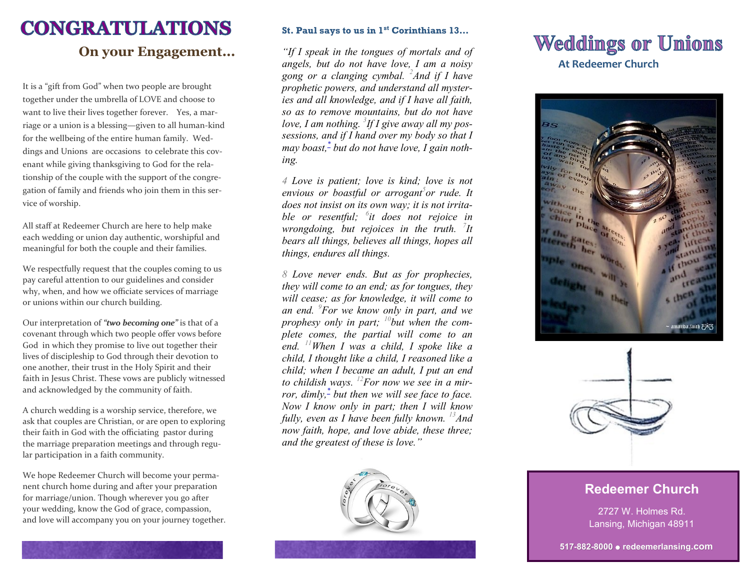# **CONGRATULATIONS**

## **On your Engagement...**

It is a "gift from God" when two people are brought together under the umbrella of LOVE and choose to want to live their lives together forever. Yes, a marriage or a union is a blessing—given to all human-kind for the wellbeing of the entire human family. Weddings and Unions are occasions to celebrate this covenant while giving thanksgiving to God for the relationship of the couple with the support of the congregation of family and friends who join them in this service of worship.

All staff at Redeemer Church are here to help make each wedding or union day authentic, worshipful and meaningful for both the couple and their families.

We respectfully request that the couples coming to us pay careful attention to our guidelines and consider why, when, and how we officiate services of marriage or unions within our church building.

Our interpretation of *"two becoming one"* is that of a covenant through which two people offer vows before God in which they promise to live out together their lives of discipleship to God through their devotion to one another, their trust in the Holy Spirit and their faith in Jesus Christ. These vows are publicly witnessed and acknowledged by the community of faith.

A church wedding is a worship service, therefore, we ask that couples are Christian, or are open to exploring their faith in God with the officiating pastor during the marriage preparation meetings and through regular participation in a faith community.

We hope Redeemer Church will become your permanent church home during and after your preparation for marriage/union. Though wherever you go after your wedding, know the God of grace, compassion, and love will accompany you on your journey together.

### **St. Paul says to us in 1st Corinthians 13…**

*"If I speak in the tongues of mortals and of angels, but do not have love, I am a noisy gong or a clanging cymbal. <sup>2</sup>And if I have prophetic powers, and understand all mysteries and all knowledge, and if I have all faith, so as to remove mountains, but do not have love, I am nothing. <sup>3</sup> If I give away all my possessions, and if I hand over my body so that I may boast,[\\*](javascript:void(0);) but do not have love, I gain nothing.*

*4 Love is patient; love is kind; love is not envious or boastful or arrogant<sup>5</sup> or rude. It does not insist on its own way; it is not irritable or resentful; <sup>6</sup> it does not rejoice in wrongdoing, but rejoices in the truth. <sup>7</sup> It bears all things, believes all things, hopes all things, endures all things.*

*8 Love never ends. But as for prophecies, they will come to an end; as for tongues, they will cease; as for knowledge, it will come to an end. <sup>9</sup>For we know only in part, and we prophesy only in part; <sup>10</sup>but when the complete comes, the partial will come to an end. <sup>11</sup>When I was a child, I spoke like a child, I thought like a child, I reasoned like a child; when I became an adult, I put an end to childish ways. <sup>12</sup>For now we see in a mirror, dimly,[\\*](javascript:void(0);) but then we will see face to face. Now I know only in part; then I will know fully, even as I have been fully known. <sup>13</sup>And now faith, hope, and love abide, these three; and the greatest of these is love."*



# **Weddings or Unions At Redeemer Church**





### **Redeemer Church**

2727 W. Holmes Rd. Lansing, Michigan 48911

**517-882-8000 redeemerlansing.com**